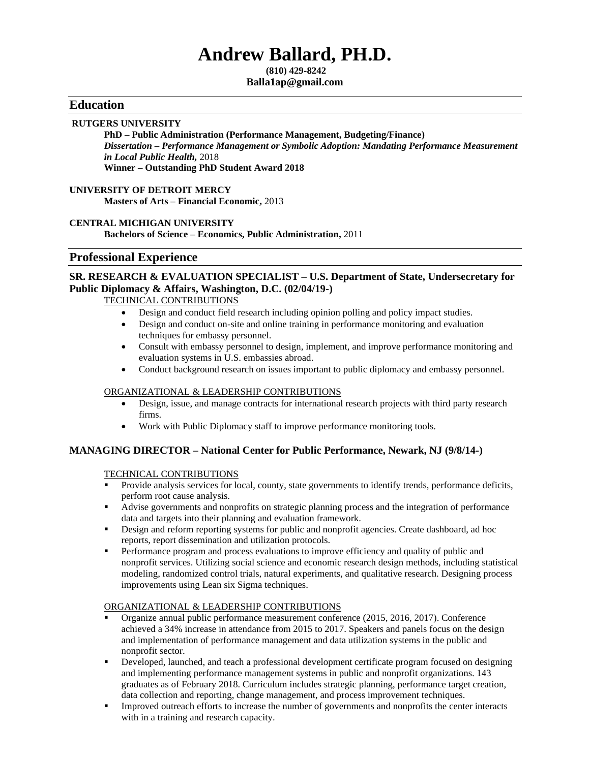# **Andrew Ballard, PH.D.**

**(810) 429-8242 Balla1ap@gmail.com**

### **Education**

#### **RUTGERS UNIVERSITY**

**PhD – Public Administration (Performance Management, Budgeting/Finance)** *Dissertation – Performance Management or Symbolic Adoption: Mandating Performance Measurement in Local Public Health,* 2018 **Winner – Outstanding PhD Student Award 2018**

#### **UNIVERSITY OF DETROIT MERCY Masters of Arts – Financial Economic,** 2013

#### **CENTRAL MICHIGAN UNIVERSITY**

**Bachelors of Science – Economics, Public Administration,** 2011

#### **Professional Experience**

#### **SR. RESEARCH & EVALUATION SPECIALIST – U.S. Department of State, Undersecretary for Public Diplomacy & Affairs, Washington, D.C. (02/04/19-)**

TECHNICAL CONTRIBUTIONS

- Design and conduct field research including opinion polling and policy impact studies.
- Design and conduct on-site and online training in performance monitoring and evaluation techniques for embassy personnel.
- Consult with embassy personnel to design, implement, and improve performance monitoring and evaluation systems in U.S. embassies abroad.
- Conduct background research on issues important to public diplomacy and embassy personnel.

#### ORGANIZATIONAL & LEADERSHIP CONTRIBUTIONS

- Design, issue, and manage contracts for international research projects with third party research firms.
- Work with Public Diplomacy staff to improve performance monitoring tools.

### **MANAGING DIRECTOR – National Center for Public Performance, Newark, NJ (9/8/14-)**

#### TECHNICAL CONTRIBUTIONS

- Provide analysis services for local, county, state governments to identify trends, performance deficits, perform root cause analysis.
- Advise governments and nonprofits on strategic planning process and the integration of performance data and targets into their planning and evaluation framework.
- **•** Design and reform reporting systems for public and nonprofit agencies. Create dashboard, ad hoc reports, report dissemination and utilization protocols.
- **•** Performance program and process evaluations to improve efficiency and quality of public and nonprofit services. Utilizing social science and economic research design methods, including statistical modeling, randomized control trials, natural experiments, and qualitative research. Designing process improvements using Lean six Sigma techniques.

#### ORGANIZATIONAL & LEADERSHIP CONTRIBUTIONS

- Organize annual public performance measurement conference (2015, 2016, 2017). Conference achieved a 34% increase in attendance from 2015 to 2017. Speakers and panels focus on the design and implementation of performance management and data utilization systems in the public and nonprofit sector.
- Developed, launched, and teach a professional development certificate program focused on designing and implementing performance management systems in public and nonprofit organizations. 143 graduates as of February 2018. Curriculum includes strategic planning, performance target creation, data collection and reporting, change management, and process improvement techniques.
- **•** Improved outreach efforts to increase the number of governments and nonprofits the center interacts with in a training and research capacity.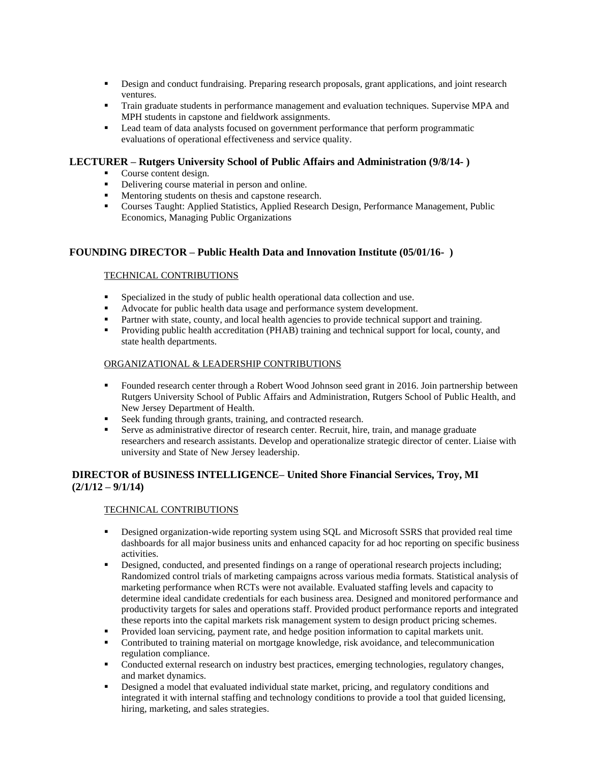- **•** Design and conduct fundraising. Preparing research proposals, grant applications, and joint research ventures.
- **Train graduate students in performance management and evaluation techniques. Supervise MPA and** MPH students in capstone and fieldwork assignments.
- Lead team of data analysts focused on government performance that perform programmatic evaluations of operational effectiveness and service quality.

#### **LECTURER – Rutgers University School of Public Affairs and Administration (9/8/14- )**

- Course content design.
- **•** Delivering course material in person and online.
- Mentoring students on thesis and capstone research.
- Courses Taught: Applied Statistics, Applied Research Design, Performance Management, Public Economics, Managing Public Organizations

#### **FOUNDING DIRECTOR – Public Health Data and Innovation Institute (05/01/16- )**

#### TECHNICAL CONTRIBUTIONS

- Specialized in the study of public health operational data collection and use.
- Advocate for public health data usage and performance system development.
- **•** Partner with state, county, and local health agencies to provide technical support and training.
- Providing public health accreditation (PHAB) training and technical support for local, county, and state health departments.

#### ORGANIZATIONAL & LEADERSHIP CONTRIBUTIONS

- Founded research center through a Robert Wood Johnson seed grant in 2016. Join partnership between Rutgers University School of Public Affairs and Administration, Rutgers School of Public Health, and New Jersey Department of Health.
- Seek funding through grants, training, and contracted research.
- **•** Serve as administrative director of research center. Recruit, hire, train, and manage graduate researchers and research assistants. Develop and operationalize strategic director of center. Liaise with university and State of New Jersey leadership.

### **DIRECTOR of BUSINESS INTELLIGENCE– United Shore Financial Services, Troy, MI (2/1/12 – 9/1/14)**

#### TECHNICAL CONTRIBUTIONS

- **•** Designed organization-wide reporting system using SQL and Microsoft SSRS that provided real time dashboards for all major business units and enhanced capacity for ad hoc reporting on specific business activities.
- **•** Designed, conducted, and presented findings on a range of operational research projects including; Randomized control trials of marketing campaigns across various media formats. Statistical analysis of marketing performance when RCTs were not available. Evaluated staffing levels and capacity to determine ideal candidate credentials for each business area. Designed and monitored performance and productivity targets for sales and operations staff. Provided product performance reports and integrated these reports into the capital markets risk management system to design product pricing schemes.
- Provided loan servicing, payment rate, and hedge position information to capital markets unit.
- **•** Contributed to training material on mortgage knowledge, risk avoidance, and telecommunication regulation compliance.
- Conducted external research on industry best practices, emerging technologies, regulatory changes, and market dynamics.
- **•** Designed a model that evaluated individual state market, pricing, and regulatory conditions and integrated it with internal staffing and technology conditions to provide a tool that guided licensing, hiring, marketing, and sales strategies.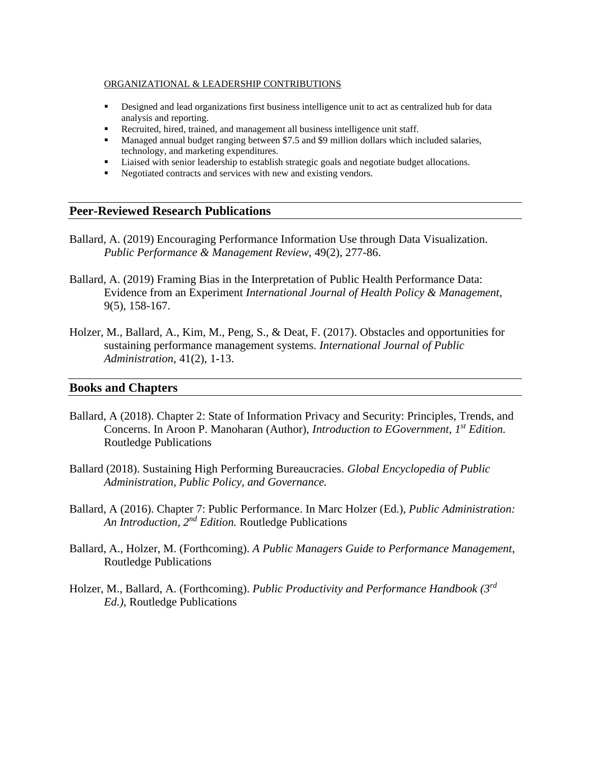#### ORGANIZATIONAL & LEADERSHIP CONTRIBUTIONS

- **•** Designed and lead organizations first business intelligence unit to act as centralized hub for data analysis and reporting.
- Recruited, hired, trained, and management all business intelligence unit staff.
- **■** Managed annual budget ranging between \$7.5 and \$9 million dollars which included salaries, technology, and marketing expenditures.
- Liaised with senior leadership to establish strategic goals and negotiate budget allocations.
- Negotiated contracts and services with new and existing vendors.

# **Peer-Reviewed Research Publications**

- Ballard, A. (2019) Encouraging Performance Information Use through Data Visualization. *Public Performance & Management Review,* 49(2), 277-86.
- Ballard, A. (2019) Framing Bias in the Interpretation of Public Health Performance Data: Evidence from an Experiment *International Journal of Health Policy & Management,*  9(5), 158-167.
- Holzer, M., Ballard, A., Kim, M., Peng, S., & Deat, F. (2017). Obstacles and opportunities for sustaining performance management systems. *International Journal of Public Administration*, 41(2), 1-13.

## **Books and Chapters**

- Ballard, A (2018). Chapter 2: State of Information Privacy and Security: Principles, Trends, and Concerns. In Aroon P. Manoharan (Author), *Introduction to EGovernment, 1st Edition.*  Routledge Publications
- Ballard (2018). Sustaining High Performing Bureaucracies. *Global Encyclopedia of Public Administration, Public Policy, and Governance.*
- Ballard, A (2016). Chapter 7: Public Performance. In Marc Holzer (Ed.), *Public Administration: An Introduction, 2nd Edition.* Routledge Publications
- Ballard, A., Holzer, M. (Forthcoming). *A Public Managers Guide to Performance Management,*  Routledge Publications
- Holzer, M., Ballard, A. (Forthcoming). *Public Productivity and Performance Handbook (3rd Ed.),* Routledge Publications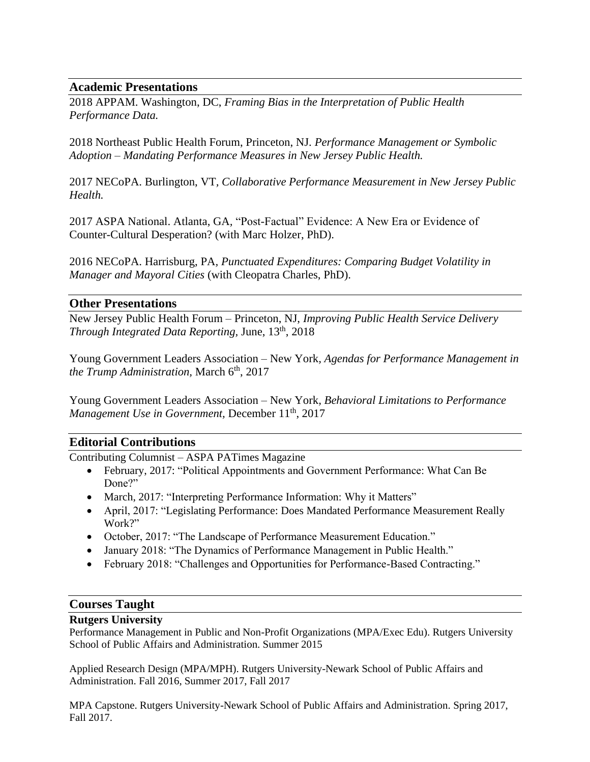# **Academic Presentations**

2018 APPAM. Washington, DC, *Framing Bias in the Interpretation of Public Health Performance Data.*

2018 Northeast Public Health Forum, Princeton, NJ. *Performance Management or Symbolic Adoption – Mandating Performance Measures in New Jersey Public Health.*

2017 NECoPA. Burlington, VT*, Collaborative Performance Measurement in New Jersey Public Health.* 

2017 ASPA National. Atlanta, GA*,* "Post-Factual" Evidence: A New Era or Evidence of Counter-Cultural Desperation? (with Marc Holzer, PhD).

2016 NECoPA. Harrisburg, PA*, Punctuated Expenditures: Comparing Budget Volatility in Manager and Mayoral Cities* (with Cleopatra Charles, PhD).

# **Other Presentations**

New Jersey Public Health Forum – Princeton, NJ, *Improving Public Health Service Delivery Through Integrated Data Reporting,* June, 13th, 2018

Young Government Leaders Association – New York*, Agendas for Performance Management in the Trump Administration, March* 6<sup>th</sup>, 2017

Young Government Leaders Association – New York*, Behavioral Limitations to Performance Management Use in Government, December 11<sup>th</sup>, 2017* 

# **Editorial Contributions**

Contributing Columnist – ASPA PATimes Magazine

- February, 2017: "Political Appointments and Government Performance: What Can Be Done?"
- March, 2017: "Interpreting Performance Information: Why it Matters"
- April, 2017: "Legislating Performance: Does Mandated Performance Measurement Really Work?"
- October, 2017: "The Landscape of Performance Measurement Education."
- January 2018: "The Dynamics of Performance Management in Public Health."
- February 2018: "Challenges and Opportunities for Performance-Based Contracting."

## **Courses Taught**

## **Rutgers University**

Performance Management in Public and Non-Profit Organizations (MPA/Exec Edu). Rutgers University School of Public Affairs and Administration. Summer 2015

Applied Research Design (MPA/MPH). Rutgers University-Newark School of Public Affairs and Administration. Fall 2016, Summer 2017, Fall 2017

MPA Capstone. Rutgers University-Newark School of Public Affairs and Administration. Spring 2017, Fall 2017.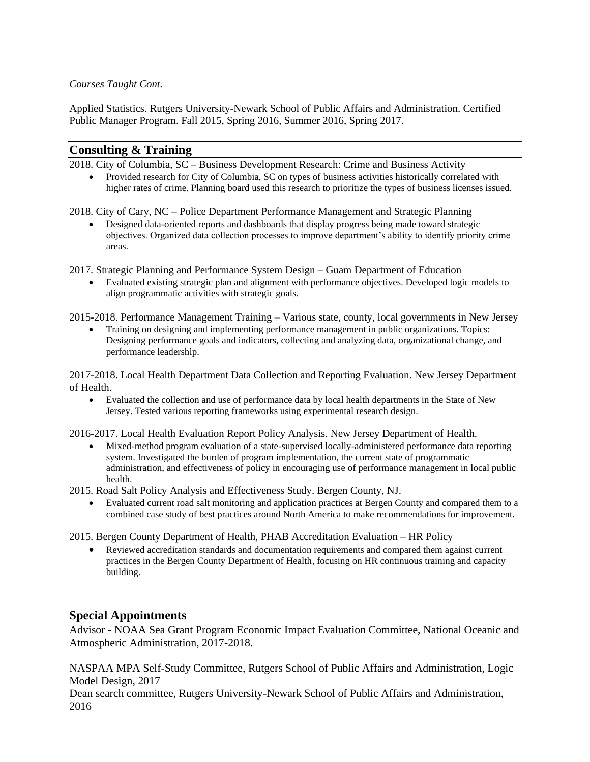### *Courses Taught Cont.*

Applied Statistics. Rutgers University-Newark School of Public Affairs and Administration. Certified Public Manager Program. Fall 2015, Spring 2016, Summer 2016, Spring 2017.

## **Consulting & Training**

2018. City of Columbia, SC – Business Development Research: Crime and Business Activity

• Provided research for City of Columbia, SC on types of business activities historically correlated with higher rates of crime. Planning board used this research to prioritize the types of business licenses issued.

2018. City of Cary, NC – Police Department Performance Management and Strategic Planning

• Designed data-oriented reports and dashboards that display progress being made toward strategic objectives. Organized data collection processes to improve department's ability to identify priority crime areas.

2017. Strategic Planning and Performance System Design – Guam Department of Education

• Evaluated existing strategic plan and alignment with performance objectives. Developed logic models to align programmatic activities with strategic goals.

2015-2018. Performance Management Training – Various state, county, local governments in New Jersey

• Training on designing and implementing performance management in public organizations. Topics: Designing performance goals and indicators, collecting and analyzing data, organizational change, and performance leadership.

2017-2018. Local Health Department Data Collection and Reporting Evaluation. New Jersey Department of Health.

• Evaluated the collection and use of performance data by local health departments in the State of New Jersey. Tested various reporting frameworks using experimental research design.

2016-2017. Local Health Evaluation Report Policy Analysis. New Jersey Department of Health.

• Mixed-method program evaluation of a state-supervised locally-administered performance data reporting system. Investigated the burden of program implementation, the current state of programmatic administration, and effectiveness of policy in encouraging use of performance management in local public health.

2015. Road Salt Policy Analysis and Effectiveness Study. Bergen County, NJ.

• Evaluated current road salt monitoring and application practices at Bergen County and compared them to a combined case study of best practices around North America to make recommendations for improvement.

2015. Bergen County Department of Health, PHAB Accreditation Evaluation – HR Policy

Reviewed accreditation standards and documentation requirements and compared them against current practices in the Bergen County Department of Health, focusing on HR continuous training and capacity building.

# **Special Appointments**

Advisor - NOAA Sea Grant Program Economic Impact Evaluation Committee, National Oceanic and Atmospheric Administration, 2017-2018.

NASPAA MPA Self-Study Committee, Rutgers School of Public Affairs and Administration, Logic Model Design, 2017

Dean search committee, Rutgers University-Newark School of Public Affairs and Administration, 2016